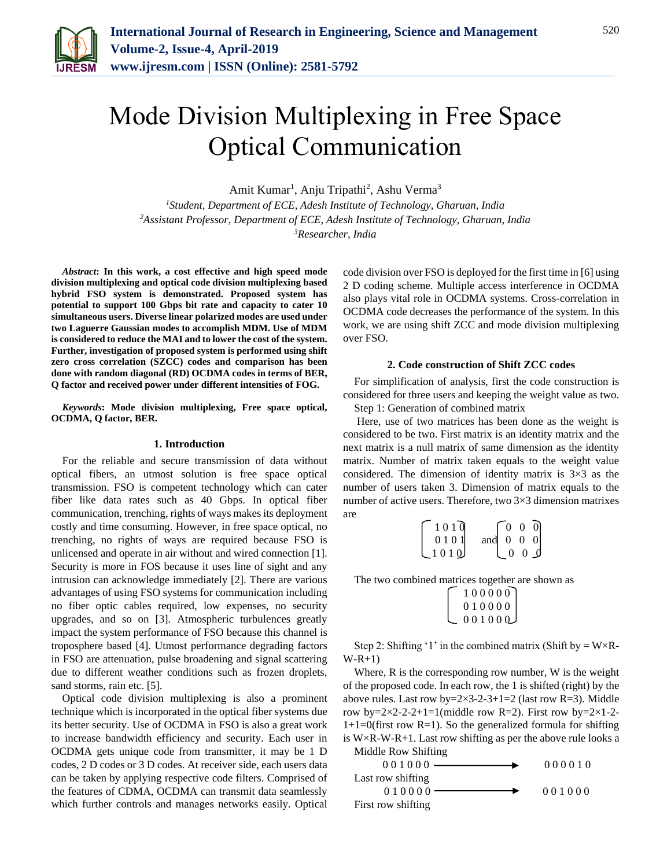

# Mode Division Multiplexing in Free Space Optical Communication

Amit Kumar<sup>1</sup>, Anju Tripathi<sup>2</sup>, Ashu Verma<sup>3</sup>

*<sup>1</sup>Student, Department of ECE, Adesh Institute of Technology, Gharuan, India <sup>2</sup>Assistant Professor, Department of ECE, Adesh Institute of Technology, Gharuan, India 3Researcher, India*

*Abstract***: In this work, a cost effective and high speed mode division multiplexing and optical code division multiplexing based hybrid FSO system is demonstrated. Proposed system has potential to support 100 Gbps bit rate and capacity to cater 10 simultaneous users. Diverse linear polarized modes are used under two Laguerre Gaussian modes to accomplish MDM. Use of MDM is considered to reduce the MAI and to lower the cost of the system. Further, investigation of proposed system is performed using shift zero cross correlation (SZCC) codes and comparison has been done with random diagonal (RD) OCDMA codes in terms of BER, Q factor and received power under different intensities of FOG.** 

*Keywords***: Mode division multiplexing, Free space optical, OCDMA, Q factor, BER.**

#### **1. Introduction**

For the reliable and secure transmission of data without optical fibers, an utmost solution is free space optical transmission. FSO is competent technology which can cater fiber like data rates such as 40 Gbps. In optical fiber communication, trenching, rights of ways makes its deployment costly and time consuming. However, in free space optical, no trenching, no rights of ways are required because FSO is unlicensed and operate in air without and wired connection [1]. Security is more in FOS because it uses line of sight and any intrusion can acknowledge immediately [2]. There are various advantages of using FSO systems for communication including no fiber optic cables required, low expenses, no security upgrades, and so on [3]. Atmospheric turbulences greatly impact the system performance of FSO because this channel is troposphere based [4]. Utmost performance degrading factors in FSO are attenuation, pulse broadening and signal scattering due to different weather conditions such as frozen droplets, sand storms, rain etc. [5].

Optical code division multiplexing is also a prominent technique which is incorporated in the optical fiber systems due its better security. Use of OCDMA in FSO is also a great work to increase bandwidth efficiency and security. Each user in OCDMA gets unique code from transmitter, it may be 1 D codes, 2 D codes or 3 D codes. At receiver side, each users data can be taken by applying respective code filters. Comprised of the features of CDMA, OCDMA can transmit data seamlessly which further controls and manages networks easily. Optical code division over FSO is deployed for the first time in [6] using 2 D coding scheme. Multiple access interference in OCDMA also plays vital role in OCDMA systems. Cross-correlation in OCDMA code decreases the performance of the system. In this work, we are using shift ZCC and mode division multiplexing over FSO.

#### **2. Code construction of Shift ZCC codes**

For simplification of analysis, first the code construction is considered for three users and keeping the weight value as two. Step 1: Generation of combined matrix

Here, use of two matrices has been done as the weight is considered to be two. First matrix is an identity matrix and the next matrix is a null matrix of same dimension as the identity matrix. Number of matrix taken equals to the weight value considered. The dimension of identity matrix is  $3\times3$  as the number of users taken 3. Dimension of matrix equals to the number of active users. Therefore, two 3×3 dimension matrixes are

| 1010  |                   | $\begin{bmatrix} 0 & 0 & 0 \end{bmatrix}$ |             |  |
|-------|-------------------|-------------------------------------------|-------------|--|
| 0101  | and $0 \t 0 \t 0$ |                                           |             |  |
| .1010 |                   |                                           | $0 \t0 \t0$ |  |

The two combined matrices together are shown as

| $\begin{bmatrix} 1 & 0 & 0 & 0 & 0 & 0 \\ 0 & 1 & 0 & 0 & 0 & 0 \\ 0 & 0 & 1 & 0 & 0 & 0 \end{bmatrix}$ |  |
|---------------------------------------------------------------------------------------------------------|--|
|                                                                                                         |  |

Step 2: Shifting '1' in the combined matrix (Shift by  $= W \times R$ - $W-R+1$ 

Where, R is the corresponding row number, W is the weight of the proposed code. In each row, the 1 is shifted (right) by the above rules. Last row by= $2 \times 3 - 2 - 3 + 1 = 2$  (last row R=3). Middle row by= $2 \times 2 - 2 - 1 = 1$  (middle row R=2). First row by= $2 \times 1 - 2$ - $1+1=0$ (first row R=1). So the generalized formula for shifting is  $W \times R-W-R+1$ . Last row shifting as per the above rule looks a Middle Row Shifting

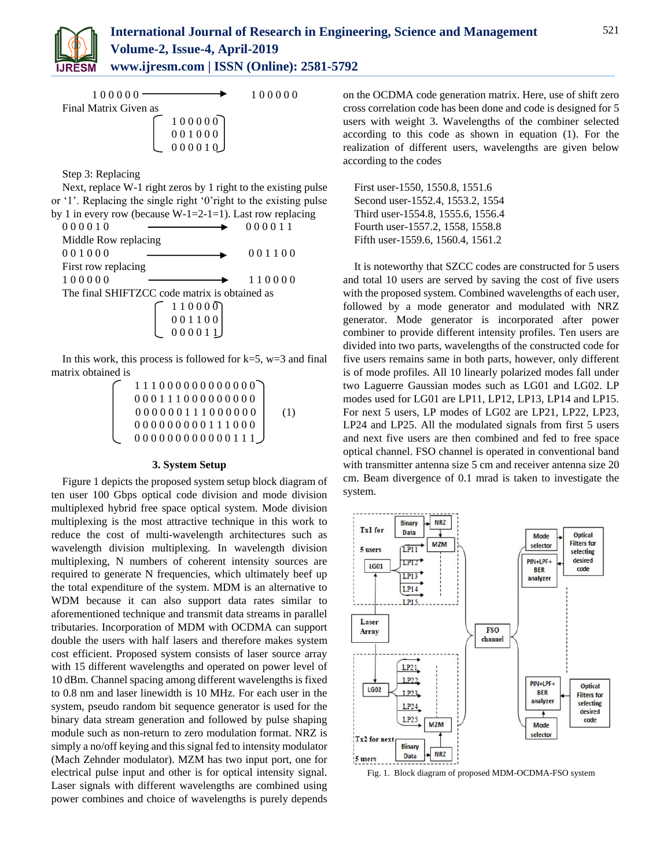

| 100000-               |                                                                                                          | 100000 |
|-----------------------|----------------------------------------------------------------------------------------------------------|--------|
| Final Matrix Given as |                                                                                                          |        |
|                       |                                                                                                          |        |
|                       | $\left[\begin{array}{cc} 1 & 0 & 0 & 0 & 0 \\ 0 & 0 & 1 & 0 & 0 \\ 0 & 0 & 0 & 0 & 0 \end{array}\right]$ |        |
|                       | 000010                                                                                                   |        |

Step 3: Replacing

Next, replace W-1 right zeros by 1 right to the existing pulse or '1'. Replacing the single right '0'right to the existing pulse by 1 in every row (because W-1=2-1=1). Last row replacing  $0.000110$ 

| 000010               |                                                                            | 000011 |
|----------------------|----------------------------------------------------------------------------|--------|
| Middle Row replacing |                                                                            |        |
| 001000               |                                                                            | 001100 |
| First row replacing  |                                                                            |        |
| 100000               |                                                                            | 110000 |
|                      | The final SHIFTZCC code matrix is obtained as                              |        |
|                      |                                                                            |        |
|                      | $\begin{bmatrix} 1 & 1 & 0 & 0 & 0 \\ 0 & 0 & 1 & 1 & 0 & 0 \end{bmatrix}$ |        |
|                      | 000011                                                                     |        |

In this work, this process is followed for  $k=5$ ,  $w=3$  and final matrix obtained is

| 111000000000000                                             |     |
|-------------------------------------------------------------|-----|
| 0001110000000000                                            |     |
| $0\; 0\; 0\; 0\; 0\; 0\; 1\; 1\; 1\; 0\; 0\; 0\; 0\; 0\; 0$ | (1) |
| $0 0 0 0 0 0 0 0 0 1 1 1 0 0 0$                             |     |
| 000000000000111                                             |     |

#### **3. System Setup**

Figure 1 depicts the proposed system setup block diagram of ten user 100 Gbps optical code division and mode division multiplexed hybrid free space optical system. Mode division multiplexing is the most attractive technique in this work to reduce the cost of multi-wavelength architectures such as wavelength division multiplexing. In wavelength division multiplexing, N numbers of coherent intensity sources are required to generate N frequencies, which ultimately beef up the total expenditure of the system. MDM is an alternative to WDM because it can also support data rates similar to aforementioned technique and transmit data streams in parallel tributaries. Incorporation of MDM with OCDMA can support double the users with half lasers and therefore makes system cost efficient. Proposed system consists of laser source array with 15 different wavelengths and operated on power level of 10 dBm. Channel spacing among different wavelengths is fixed to 0.8 nm and laser linewidth is 10 MHz. For each user in the system, pseudo random bit sequence generator is used for the binary data stream generation and followed by pulse shaping module such as non-return to zero modulation format. NRZ is simply a no/off keying and this signal fed to intensity modulator (Mach Zehnder modulator). MZM has two input port, one for electrical pulse input and other is for optical intensity signal. Laser signals with different wavelengths are combined using power combines and choice of wavelengths is purely depends

on the OCDMA code generation matrix. Here, use of shift zero cross correlation code has been done and code is designed for 5 users with weight 3. Wavelengths of the combiner selected according to this code as shown in equation (1). For the realization of different users, wavelengths are given below according to the codes

First user-1550, 1550.8, 1551.6 Second user-1552.4, 1553.2, 1554 Third user-1554.8, 1555.6, 1556.4 Fourth user-1557.2, 1558, 1558.8 Fifth user-1559.6, 1560.4, 1561.2

It is noteworthy that SZCC codes are constructed for 5 users and total 10 users are served by saving the cost of five users with the proposed system. Combined wavelengths of each user, followed by a mode generator and modulated with NRZ generator. Mode generator is incorporated after power combiner to provide different intensity profiles. Ten users are divided into two parts, wavelengths of the constructed code for five users remains same in both parts, however, only different is of mode profiles. All 10 linearly polarized modes fall under two Laguerre Gaussian modes such as LG01 and LG02. LP modes used for LG01 are LP11, LP12, LP13, LP14 and LP15. For next 5 users, LP modes of LG02 are LP21, LP22, LP23, LP24 and LP25. All the modulated signals from first 5 users and next five users are then combined and fed to free space optical channel. FSO channel is operated in conventional band with transmitter antenna size 5 cm and receiver antenna size 20 cm. Beam divergence of 0.1 mrad is taken to investigate the system.



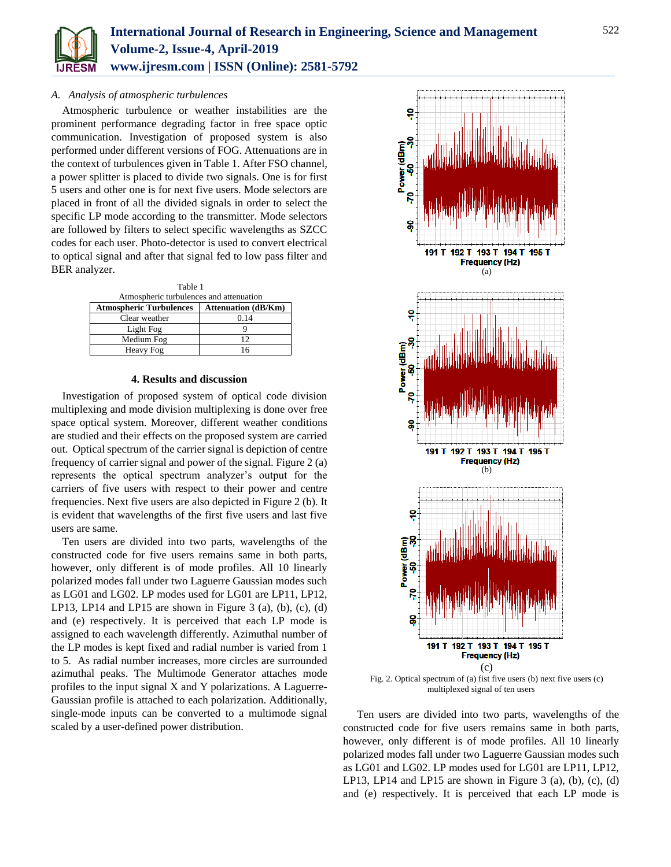

## *A. Analysis of atmospheric turbulences*

Atmospheric turbulence or weather instabilities are the prominent performance degrading factor in free space optic communication. Investigation of proposed system is also performed under different versions of FOG. Attenuations are in the context of turbulences given in Table 1. After FSO channel, a power splitter is placed to divide two signals. One is for first 5 users and other one is for next five users. Mode selectors are placed in front of all the divided signals in order to select the specific LP mode according to the transmitter. Mode selectors are followed by filters to select specific wavelengths as SZCC codes for each user. Photo-detector is used to convert electrical to optical signal and after that signal fed to low pass filter and BER analyzer.

| Table 1                                 |                            |  |
|-----------------------------------------|----------------------------|--|
| Atmospheric turbulences and attenuation |                            |  |
| <b>Atmospheric Turbulences</b>          | <b>Attenuation (dB/Km)</b> |  |
| Clear weather                           | 0.14                       |  |
| Light Fog                               |                            |  |
| Medium Fog                              | 12                         |  |

## **4. Results and discussion**

Heavy Fog 16

Investigation of proposed system of optical code division multiplexing and mode division multiplexing is done over free space optical system. Moreover, different weather conditions are studied and their effects on the proposed system are carried out. Optical spectrum of the carrier signal is depiction of centre frequency of carrier signal and power of the signal. Figure 2 (a) represents the optical spectrum analyzer's output for the carriers of five users with respect to their power and centre frequencies. Next five users are also depicted in Figure 2 (b). It is evident that wavelengths of the first five users and last five users are same.

Ten users are divided into two parts, wavelengths of the constructed code for five users remains same in both parts, however, only different is of mode profiles. All 10 linearly polarized modes fall under two Laguerre Gaussian modes such as LG01 and LG02. LP modes used for LG01 are LP11, LP12, LP13, LP14 and LP15 are shown in Figure 3 (a), (b), (c), (d) and (e) respectively. It is perceived that each LP mode is assigned to each wavelength differently. Azimuthal number of the LP modes is kept fixed and radial number is varied from 1 to 5. As radial number increases, more circles are surrounded azimuthal peaks. The Multimode Generator attaches mode profiles to the input signal X and Y polarizations. A Laguerre-Gaussian profile is attached to each polarization. Additionally, single-mode inputs can be converted to a multimode signal scaled by a user-defined power distribution.



Fig. 2. Optical spectrum of (a) fist five users (b) next five users (c) multiplexed signal of ten users

Ten users are divided into two parts, wavelengths of the constructed code for five users remains same in both parts, however, only different is of mode profiles. All 10 linearly polarized modes fall under two Laguerre Gaussian modes such as LG01 and LG02. LP modes used for LG01 are LP11, LP12, LP13, LP14 and LP15 are shown in Figure 3 (a), (b), (c), (d) and (e) respectively. It is perceived that each LP mode is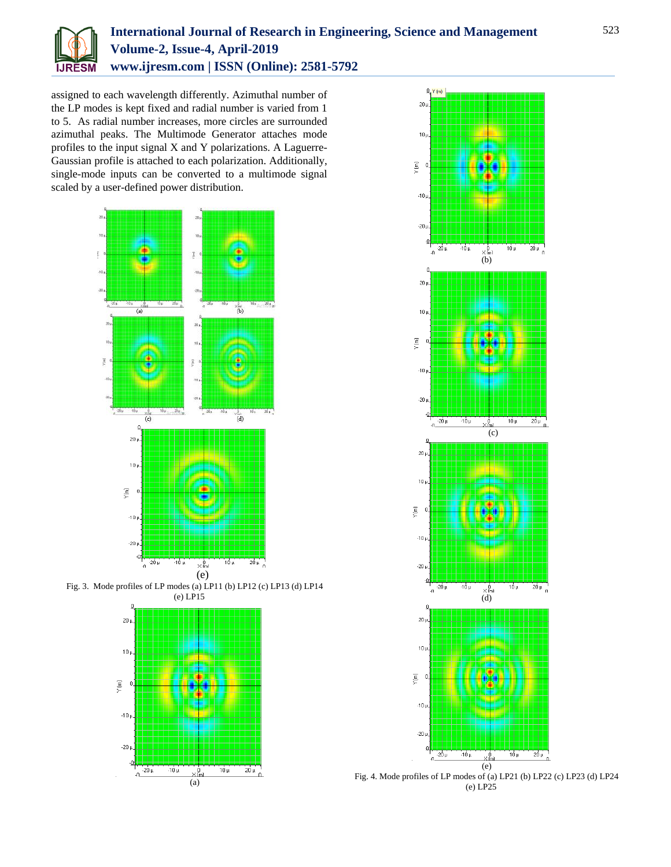

# **International Journal of Research in Engineering, Science and Management Volume-2, Issue-4, April-2019 www.ijresm.com | ISSN (Online): 2581-5792**

assigned to each wavelength differently. Azimuthal number of the LP modes is kept fixed and radial number is varied from 1 to 5. As radial number increases, more circles are surrounded azimuthal peaks. The Multimode Generator attaches mode profiles to the input signal X and Y polarizations. A Laguerre-Gaussian profile is attached to each polarization. Additionally, single-mode inputs can be converted to a multimode signal scaled by a user-defined power distribution.









Fig. 4. Mode profiles of LP modes of (a) LP21 (b) LP22 (c) LP23 (d) LP24 (e) LP25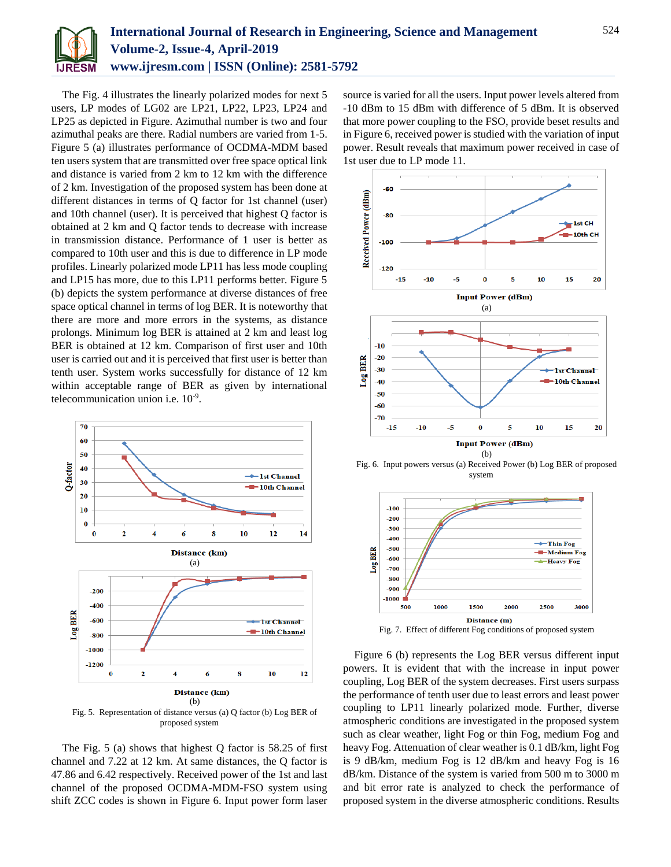

The Fig. 4 illustrates the linearly polarized modes for next 5 users, LP modes of LG02 are LP21, LP22, LP23, LP24 and LP25 as depicted in Figure. Azimuthal number is two and four azimuthal peaks are there. Radial numbers are varied from 1-5. Figure 5 (a) illustrates performance of OCDMA-MDM based ten users system that are transmitted over free space optical link and distance is varied from 2 km to 12 km with the difference of 2 km. Investigation of the proposed system has been done at different distances in terms of Q factor for 1st channel (user) and 10th channel (user). It is perceived that highest Q factor is obtained at 2 km and Q factor tends to decrease with increase in transmission distance. Performance of 1 user is better as compared to 10th user and this is due to difference in LP mode profiles. Linearly polarized mode LP11 has less mode coupling and LP15 has more, due to this LP11 performs better. Figure 5 (b) depicts the system performance at diverse distances of free space optical channel in terms of log BER. It is noteworthy that there are more and more errors in the systems, as distance prolongs. Minimum log BER is attained at 2 km and least log BER is obtained at 12 km. Comparison of first user and 10th user is carried out and it is perceived that first user is better than tenth user. System works successfully for distance of 12 km within acceptable range of BER as given by international telecommunication union i.e. 10-9 .



The Fig. 5 (a) shows that highest Q factor is 58.25 of first channel and 7.22 at 12 km. At same distances, the Q factor is 47.86 and 6.42 respectively. Received power of the 1st and last channel of the proposed OCDMA-MDM-FSO system using shift ZCC codes is shown in Figure 6. Input power form laser source is varied for all the users. Input power levels altered from -10 dBm to 15 dBm with difference of 5 dBm. It is observed that more power coupling to the FSO, provide beset results and in Figure 6, received power is studied with the variation of input power. Result reveals that maximum power received in case of 1st user due to LP mode 11.



Fig. 6. Input powers versus (a) Received Power (b) Log BER of proposed system



Figure 6 (b) represents the Log BER versus different input powers. It is evident that with the increase in input power coupling, Log BER of the system decreases. First users surpass the performance of tenth user due to least errors and least power coupling to LP11 linearly polarized mode. Further, diverse atmospheric conditions are investigated in the proposed system such as clear weather, light Fog or thin Fog, medium Fog and heavy Fog. Attenuation of clear weather is 0.1 dB/km, light Fog is 9 dB/km, medium Fog is 12 dB/km and heavy Fog is 16 dB/km. Distance of the system is varied from 500 m to 3000 m and bit error rate is analyzed to check the performance of proposed system in the diverse atmospheric conditions. Results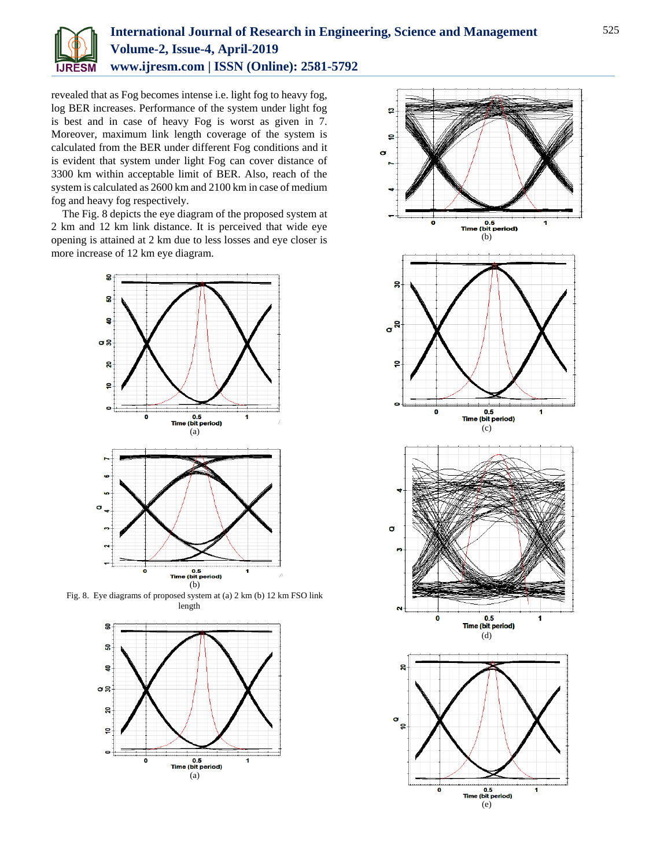

# **International Journal of Research in Engineering, Science and Management Volume-2, Issue-4, April-2019 www.ijresm.com | ISSN (Online): 2581-5792**

revealed that as Fog becomes intense i.e. light fog to heavy fog, log BER increases. Performance of the system under light fog is best and in case of heavy Fog is worst as given in 7. Moreover, maximum link length coverage of the system is calculated from the BER under different Fog conditions and it is evident that system under light Fog can cover distance of 3300 km within acceptable limit of BER. Also, reach of the system is calculated as 2600 km and 2100 km in case of medium fog and heavy fog respectively.

The Fig. 8 depicts the eye diagram of the proposed system at 2 km and 12 km link distance. It is perceived that wide eye opening is attained at 2 km due to less losses and eye closer is more increase of 12 km eye diagram.



Fig. 8. Eye diagrams of proposed system at (a) 2 km (b) 12 km FSO link length